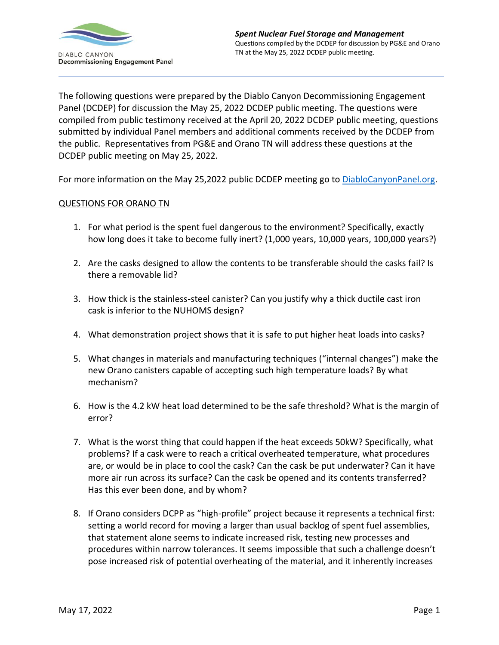

The following questions were prepared by the Diablo Canyon Decommissioning Engagement Panel (DCDEP) for discussion the May 25, 2022 DCDEP public meeting. The questions were compiled from public testimony received at the April 20, 2022 DCDEP public meeting, questions submitted by individual Panel members and additional comments received by the DCDEP from the public. Representatives from PG&E and Orano TN will address these questions at the DCDEP public meeting on May 25, 2022.

For more information on the May 25,2022 public DCDEP meeting go to [DiabloCanyonPanel.org.](https://diablocanyonpanel.org/)

## QUESTIONS FOR ORANO TN

- 1. For what period is the spent fuel dangerous to the environment? Specifically, exactly how long does it take to become fully inert? (1,000 years, 10,000 years, 100,000 years?)
- 2. Are the casks designed to allow the contents to be transferable should the casks fail? Is there a removable lid?
- 3. How thick is the stainless-steel canister? Can you justify why a thick ductile cast iron cask is inferior to the NUHOMS design?
- 4. What demonstration project shows that it is safe to put higher heat loads into casks?
- 5. What changes in materials and manufacturing techniques ("internal changes") make the new Orano canisters capable of accepting such high temperature loads? By what mechanism?
- 6. How is the 4.2 kW heat load determined to be the safe threshold? What is the margin of error?
- 7. What is the worst thing that could happen if the heat exceeds 50kW? Specifically, what problems? If a cask were to reach a critical overheated temperature, what procedures are, or would be in place to cool the cask? Can the cask be put underwater? Can it have more air run across its surface? Can the cask be opened and its contents transferred? Has this ever been done, and by whom?
- 8. If Orano considers DCPP as "high-profile" project because it represents a technical first: setting a world record for moving a larger than usual backlog of spent fuel assemblies, that statement alone seems to indicate increased risk, testing new processes and procedures within narrow tolerances. It seems impossible that such a challenge doesn't pose increased risk of potential overheating of the material, and it inherently increases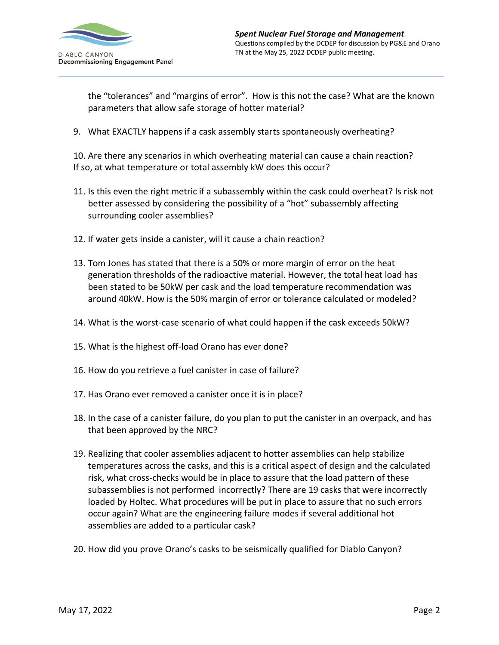

the "tolerances" and "margins of error". How is this not the case? What are the known parameters that allow safe storage of hotter material?

9. What EXACTLY happens if a cask assembly starts spontaneously overheating?

10. Are there any scenarios in which overheating material can cause a chain reaction? If so, at what temperature or total assembly kW does this occur?

- 11. Is this even the right metric if a subassembly within the cask could overheat? Is risk not better assessed by considering the possibility of a "hot" subassembly affecting surrounding cooler assemblies?
- 12. If water gets inside a canister, will it cause a chain reaction?
- 13. Tom Jones has stated that there is a 50% or more margin of error on the heat generation thresholds of the radioactive material. However, the total heat load has been stated to be 50kW per cask and the load temperature recommendation was around 40kW. How is the 50% margin of error or tolerance calculated or modeled?
- 14. What is the worst-case scenario of what could happen if the cask exceeds 50kW?
- 15. What is the highest off-load Orano has ever done?
- 16. How do you retrieve a fuel canister in case of failure?
- 17. Has Orano ever removed a canister once it is in place?
- 18. In the case of a canister failure, do you plan to put the canister in an overpack, and has that been approved by the NRC?
- 19. Realizing that cooler assemblies adjacent to hotter assemblies can help stabilize temperatures across the casks, and this is a critical aspect of design and the calculated risk, what cross-checks would be in place to assure that the load pattern of these subassemblies is not performed incorrectly? There are 19 casks that were incorrectly loaded by Holtec. What procedures will be put in place to assure that no such errors occur again? What are the engineering failure modes if several additional hot assemblies are added to a particular cask?
- 20. How did you prove Orano's casks to be seismically qualified for Diablo Canyon?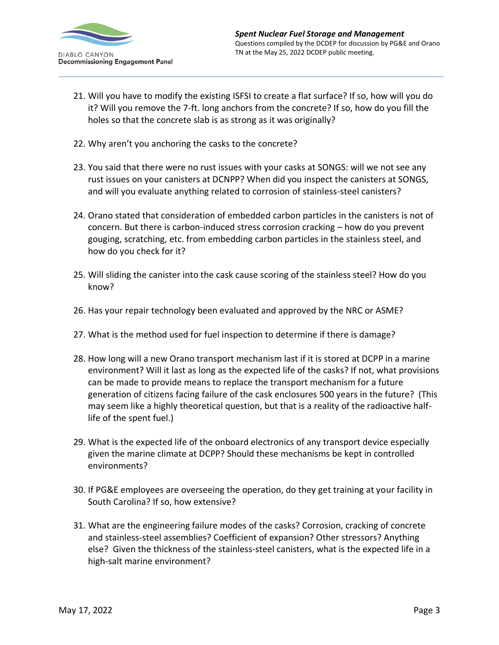

- 21. Will you have to modify the existing ISFSI to create a flat surface? If so, how will you do it? Will you remove the 7-ft. long anchors from the concrete? If so, how do you fill the holes so that the concrete slab is as strong as it was originally?
- 22. Why aren't you anchoring the casks to the concrete?
- 23. You said that there were no rust issues with your casks at SONGS: will we not see any rust issues on your canisters at DCNPP? When did you inspect the canisters at SONGS, and will you evaluate anything related to corrosion of stainless-steel canisters?
- 24. Orano stated that consideration of embedded carbon particles in the canisters is not of concern. But there is carbon-induced stress corrosion cracking – how do you prevent gouging, scratching, etc. from embedding carbon particles in the stainless steel, and how do you check for it?
- 25. Will sliding the canister into the cask cause scoring of the stainless steel? How do you know?
- 26. Has your repair technology been evaluated and approved by the NRC or ASME?
- 27. What is the method used for fuel inspection to determine if there is damage?
- 28. How long will a new Orano transport mechanism last if it is stored at DCPP in a marine environment? Will it last as long as the expected life of the casks? If not, what provisions can be made to provide means to replace the transport mechanism for a future generation of citizens facing failure of the cask enclosures 500 years in the future? (This may seem like a highly theoretical question, but that is a reality of the radioactive halflife of the spent fuel.)
- 29. What is the expected life of the onboard electronics of any transport device especially given the marine climate at DCPP? Should these mechanisms be kept in controlled environments?
- 30. If PG&E employees are overseeing the operation, do they get training at your facility in South Carolina? If so, how extensive?
- 31. What are the engineering failure modes of the casks? Corrosion, cracking of concrete and stainless-steel assemblies? Coefficient of expansion? Other stressors? Anything else? Given the thickness of the stainless-steel canisters, what is the expected life in a high-salt marine environment?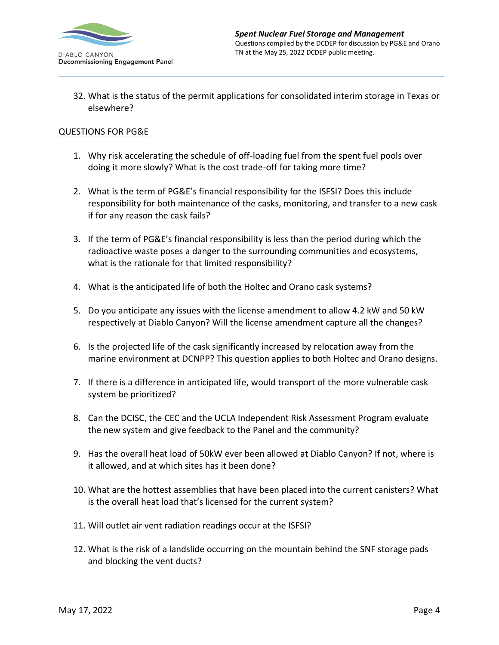

32. What is the status of the permit applications for consolidated interim storage in Texas or elsewhere?

#### QUESTIONS FOR PG&E

- 1. Why risk accelerating the schedule of off-loading fuel from the spent fuel pools over doing it more slowly? What is the cost trade-off for taking more time?
- 2. What is the term of PG&E's financial responsibility for the ISFSI? Does this include responsibility for both maintenance of the casks, monitoring, and transfer to a new cask if for any reason the cask fails?
- 3. If the term of PG&E's financial responsibility is less than the period during which the radioactive waste poses a danger to the surrounding communities and ecosystems, what is the rationale for that limited responsibility?
- 4. What is the anticipated life of both the Holtec and Orano cask systems?
- 5. Do you anticipate any issues with the license amendment to allow 4.2 kW and 50 kW respectively at Diablo Canyon? Will the license amendment capture all the changes?
- 6. Is the projected life of the cask significantly increased by relocation away from the marine environment at DCNPP? This question applies to both Holtec and Orano designs.
- 7. If there is a difference in anticipated life, would transport of the more vulnerable cask system be prioritized?
- 8. Can the DCISC, the CEC and the UCLA Independent Risk Assessment Program evaluate the new system and give feedback to the Panel and the community?
- 9. Has the overall heat load of 50kW ever been allowed at Diablo Canyon? If not, where is it allowed, and at which sites has it been done?
- 10. What are the hottest assemblies that have been placed into the current canisters? What is the overall heat load that's licensed for the current system?
- 11. Will outlet air vent radiation readings occur at the ISFSI?
- 12. What is the risk of a landslide occurring on the mountain behind the SNF storage pads and blocking the vent ducts?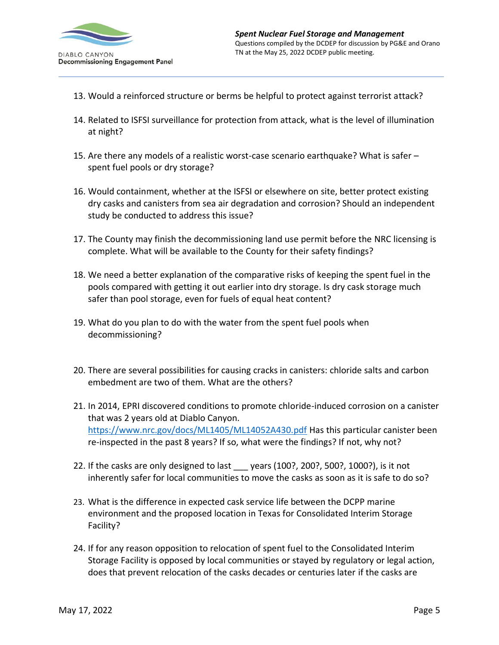

- 13. Would a reinforced structure or berms be helpful to protect against terrorist attack?
- 14. Related to ISFSI surveillance for protection from attack, what is the level of illumination at night?
- 15. Are there any models of a realistic worst-case scenario earthquake? What is safer spent fuel pools or dry storage?
- 16. Would containment, whether at the ISFSI or elsewhere on site, better protect existing dry casks and canisters from sea air degradation and corrosion? Should an independent study be conducted to address this issue?
- 17. The County may finish the decommissioning land use permit before the NRC licensing is complete. What will be available to the County for their safety findings?
- 18. We need a better explanation of the comparative risks of keeping the spent fuel in the pools compared with getting it out earlier into dry storage. Is dry cask storage much safer than pool storage, even for fuels of equal heat content?
- 19. What do you plan to do with the water from the spent fuel pools when decommissioning?
- 20. There are several possibilities for causing cracks in canisters: chloride salts and carbon embedment are two of them. What are the others?
- 21. In 2014, EPRI discovered conditions to promote chloride-induced corrosion on a canister that was 2 years old at Diablo Canyon. <https://www.nrc.gov/docs/ML1405/ML14052A430.pdf> Has this particular canister been re-inspected in the past 8 years? If so, what were the findings? If not, why not?
- 22. If the casks are only designed to last vears (100?, 200?, 500?, 1000?), is it not inherently safer for local communities to move the casks as soon as it is safe to do so?
- 23. What is the difference in expected cask service life between the DCPP marine environment and the proposed location in Texas for Consolidated Interim Storage Facility?
- 24. If for any reason opposition to relocation of spent fuel to the Consolidated Interim Storage Facility is opposed by local communities or stayed by regulatory or legal action, does that prevent relocation of the casks decades or centuries later if the casks are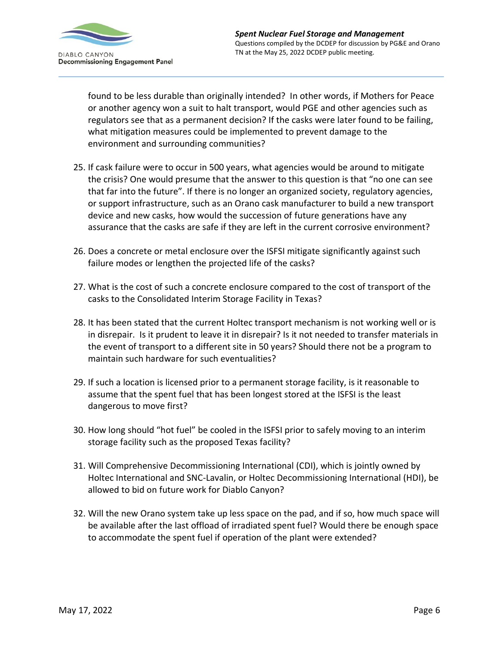

found to be less durable than originally intended? In other words, if Mothers for Peace or another agency won a suit to halt transport, would PGE and other agencies such as regulators see that as a permanent decision? If the casks were later found to be failing, what mitigation measures could be implemented to prevent damage to the environment and surrounding communities?

- 25. If cask failure were to occur in 500 years, what agencies would be around to mitigate the crisis? One would presume that the answer to this question is that "no one can see that far into the future". If there is no longer an organized society, regulatory agencies, or support infrastructure, such as an Orano cask manufacturer to build a new transport device and new casks, how would the succession of future generations have any assurance that the casks are safe if they are left in the current corrosive environment?
- 26. Does a concrete or metal enclosure over the ISFSI mitigate significantly against such failure modes or lengthen the projected life of the casks?
- 27. What is the cost of such a concrete enclosure compared to the cost of transport of the casks to the Consolidated Interim Storage Facility in Texas?
- 28. It has been stated that the current Holtec transport mechanism is not working well or is in disrepair. Is it prudent to leave it in disrepair? Is it not needed to transfer materials in the event of transport to a different site in 50 years? Should there not be a program to maintain such hardware for such eventualities?
- 29. If such a location is licensed prior to a permanent storage facility, is it reasonable to assume that the spent fuel that has been longest stored at the ISFSI is the least dangerous to move first?
- 30. How long should "hot fuel" be cooled in the ISFSI prior to safely moving to an interim storage facility such as the proposed Texas facility?
- 31. Will Comprehensive Decommissioning International (CDI), which is jointly owned by Holtec International and SNC-Lavalin, or Holtec Decommissioning International (HDI), be allowed to bid on future work for Diablo Canyon?
- 32. Will the new Orano system take up less space on the pad, and if so, how much space will be available after the last offload of irradiated spent fuel? Would there be enough space to accommodate the spent fuel if operation of the plant were extended?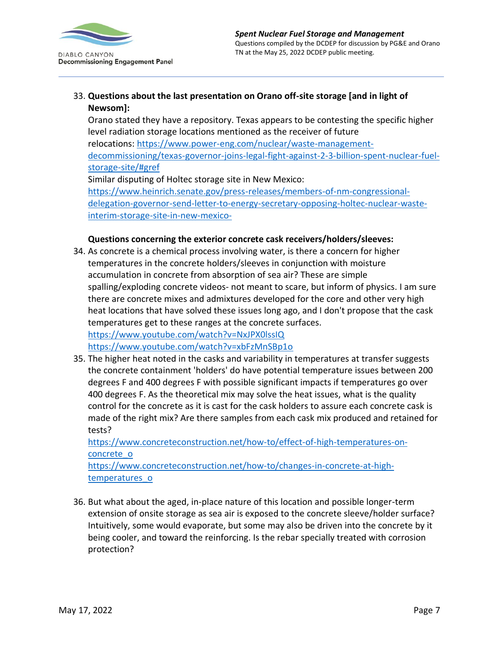

# 33. **Questions about the last presentation on Orano off-site storage [and in light of Newsom]:**

Orano stated they have a repository. Texas appears to be contesting the specific higher level radiation storage locations mentioned as the receiver of future relocations: [https://www.power-eng.com/nuclear/waste-management](https://www.power-eng.com/nuclear/waste-management-decommissioning/texas-governor-joins-legal-fight-against-2-3-billion-spent-nuclear-fuel-storage-site/#gref)[decommissioning/texas-governor-joins-legal-fight-against-2-3-billion-spent-nuclear-fuel](https://www.power-eng.com/nuclear/waste-management-decommissioning/texas-governor-joins-legal-fight-against-2-3-billion-spent-nuclear-fuel-storage-site/#gref)[storage-site/#gref](https://www.power-eng.com/nuclear/waste-management-decommissioning/texas-governor-joins-legal-fight-against-2-3-billion-spent-nuclear-fuel-storage-site/#gref) Similar disputing of Holtec storage site in New Mexico: [https://www.heinrich.senate.gov/press-releases/members-of-nm-congressional-](https://www.heinrich.senate.gov/press-releases/members-of-nm-congressional-delegation-governor-send-letter-to-energy-secretary-opposing-holtec-nuclear-waste-interim-storage-site-in-new-mexico-)

[delegation-governor-send-letter-to-energy-secretary-opposing-holtec-nuclear-waste](https://www.heinrich.senate.gov/press-releases/members-of-nm-congressional-delegation-governor-send-letter-to-energy-secretary-opposing-holtec-nuclear-waste-interim-storage-site-in-new-mexico-)[interim-storage-site-in-new-mexico-](https://www.heinrich.senate.gov/press-releases/members-of-nm-congressional-delegation-governor-send-letter-to-energy-secretary-opposing-holtec-nuclear-waste-interim-storage-site-in-new-mexico-)

## **Questions concerning the exterior concrete cask receivers/holders/sleeves:**

- 34. As concrete is a chemical process involving water, is there a concern for higher temperatures in the concrete holders/sleeves in conjunction with moisture accumulation in concrete from absorption of sea air? These are simple spalling/exploding concrete videos- not meant to scare, but inform of physics. I am sure there are concrete mixes and admixtures developed for the core and other very high heat locations that have solved these issues long ago, and I don't propose that the cask temperatures get to these ranges at the concrete surfaces. <https://www.youtube.com/watch?v=NxJPX0lssIQ> <https://www.youtube.com/watch?v=xbFzMnSBp1o>
- 35. The higher heat noted in the casks and variability in temperatures at transfer suggests the concrete containment 'holders' do have potential temperature issues between 200 degrees F and 400 degrees F with possible significant impacts if temperatures go over 400 degrees F. As the theoretical mix may solve the heat issues, what is the quality control for the concrete as it is cast for the cask holders to assure each concrete cask is made of the right mix? Are there samples from each cask mix produced and retained for tests?

[https://www.concreteconstruction.net/how-to/effect-of-high-temperatures-on](https://www.concreteconstruction.net/how-to/effect-of-high-temperatures-on-concrete_o)[concrete\\_o](https://www.concreteconstruction.net/how-to/effect-of-high-temperatures-on-concrete_o)

[https://www.concreteconstruction.net/how-to/changes-in-concrete-at-high](https://www.concreteconstruction.net/how-to/changes-in-concrete-at-high-temperatures_o)[temperatures\\_o](https://www.concreteconstruction.net/how-to/changes-in-concrete-at-high-temperatures_o)

36. But what about the aged, in-place nature of this location and possible longer-term extension of onsite storage as sea air is exposed to the concrete sleeve/holder surface? Intuitively, some would evaporate, but some may also be driven into the concrete by it being cooler, and toward the reinforcing. Is the rebar specially treated with corrosion protection?